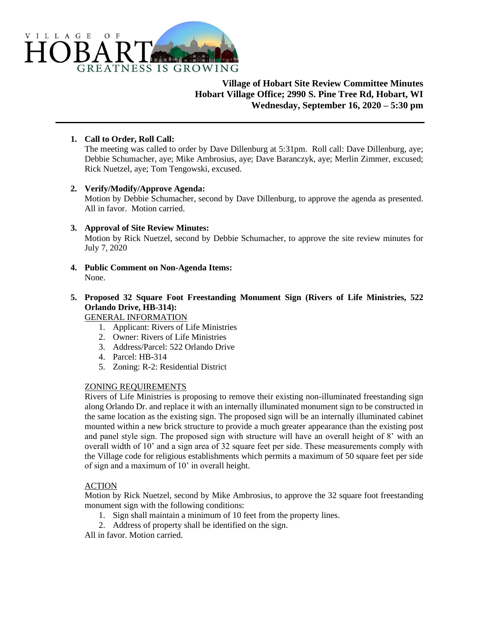

# **Village of Hobart Site Review Committee Minutes Hobart Village Office; 2990 S. Pine Tree Rd, Hobart, WI Wednesday, September 16, 2020 – 5:30 pm**

# **1. Call to Order, Roll Call:**

The meeting was called to order by Dave Dillenburg at 5:31pm. Roll call: Dave Dillenburg, aye; Debbie Schumacher, aye; Mike Ambrosius, aye; Dave Baranczyk, aye; Merlin Zimmer, excused; Rick Nuetzel, aye; Tom Tengowski, excused.

### **2. Verify/Modify/Approve Agenda:**

Motion by Debbie Schumacher, second by Dave Dillenburg, to approve the agenda as presented. All in favor. Motion carried.

# **3. Approval of Site Review Minutes:**

Motion by Rick Nuetzel, second by Debbie Schumacher, to approve the site review minutes for July 7, 2020

**4. Public Comment on Non-Agenda Items:** None.

# **5. Proposed 32 Square Foot Freestanding Monument Sign (Rivers of Life Ministries, 522 Orlando Drive, HB-314):**

GENERAL INFORMATION

- 1. Applicant: Rivers of Life Ministries
- 2. Owner: Rivers of Life Ministries
- 3. Address/Parcel: 522 Orlando Drive
- 4. Parcel: HB-314
- 5. Zoning: R-2: Residential District

### ZONING REQUIREMENTS

Rivers of Life Ministries is proposing to remove their existing non-illuminated freestanding sign along Orlando Dr. and replace it with an internally illuminated monument sign to be constructed in the same location as the existing sign. The proposed sign will be an internally illuminated cabinet mounted within a new brick structure to provide a much greater appearance than the existing post and panel style sign. The proposed sign with structure will have an overall height of 8' with an overall width of 10' and a sign area of 32 square feet per side. These measurements comply with the Village code for religious establishments which permits a maximum of 50 square feet per side of sign and a maximum of 10' in overall height.

### **ACTION**

Motion by Rick Nuetzel, second by Mike Ambrosius, to approve the 32 square foot freestanding monument sign with the following conditions:

- 1. Sign shall maintain a minimum of 10 feet from the property lines.
- 2. Address of property shall be identified on the sign.

All in favor. Motion carried.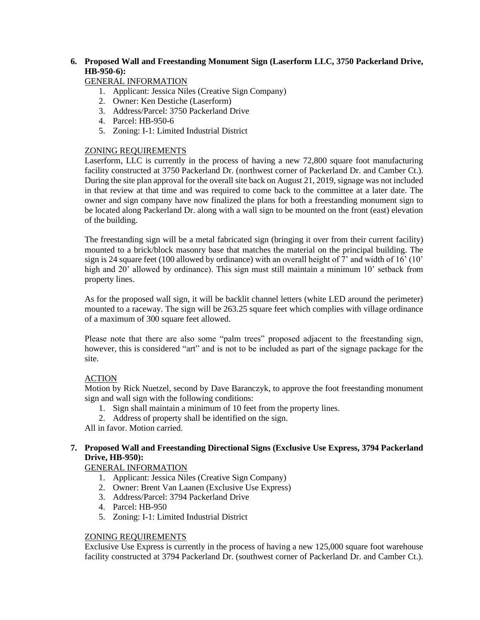# **6. Proposed Wall and Freestanding Monument Sign (Laserform LLC, 3750 Packerland Drive, HB-950-6):**

# GENERAL INFORMATION

- 1. Applicant: Jessica Niles (Creative Sign Company)
- 2. Owner: Ken Destiche (Laserform)
- 3. Address/Parcel: 3750 Packerland Drive
- 4. Parcel: HB-950-6
- 5. Zoning: I-1: Limited Industrial District

# ZONING REQUIREMENTS

Laserform, LLC is currently in the process of having a new 72,800 square foot manufacturing facility constructed at 3750 Packerland Dr. (northwest corner of Packerland Dr. and Camber Ct.). During the site plan approval for the overall site back on August 21, 2019, signage was not included in that review at that time and was required to come back to the committee at a later date. The owner and sign company have now finalized the plans for both a freestanding monument sign to be located along Packerland Dr. along with a wall sign to be mounted on the front (east) elevation of the building.

The freestanding sign will be a metal fabricated sign (bringing it over from their current facility) mounted to a brick/block masonry base that matches the material on the principal building. The sign is 24 square feet (100 allowed by ordinance) with an overall height of  $\overline{7}$  and width of 16' (10' high and 20' allowed by ordinance). This sign must still maintain a minimum 10' setback from property lines.

As for the proposed wall sign, it will be backlit channel letters (white LED around the perimeter) mounted to a raceway. The sign will be 263.25 square feet which complies with village ordinance of a maximum of 300 square feet allowed.

Please note that there are also some "palm trees" proposed adjacent to the freestanding sign, however, this is considered "art" and is not to be included as part of the signage package for the site.

### ACTION

Motion by Rick Nuetzel, second by Dave Baranczyk, to approve the foot freestanding monument sign and wall sign with the following conditions:

- 1. Sign shall maintain a minimum of 10 feet from the property lines.
- 2. Address of property shall be identified on the sign.

All in favor. Motion carried.

# **7. Proposed Wall and Freestanding Directional Signs (Exclusive Use Express, 3794 Packerland Drive, HB-950):**

GENERAL INFORMATION

- 1. Applicant: Jessica Niles (Creative Sign Company)
- 2. Owner: Brent Van Laanen (Exclusive Use Express)
- 3. Address/Parcel: 3794 Packerland Drive
- 4. Parcel: HB-950
- 5. Zoning: I-1: Limited Industrial District

# ZONING REQUIREMENTS

Exclusive Use Express is currently in the process of having a new 125,000 square foot warehouse facility constructed at 3794 Packerland Dr. (southwest corner of Packerland Dr. and Camber Ct.).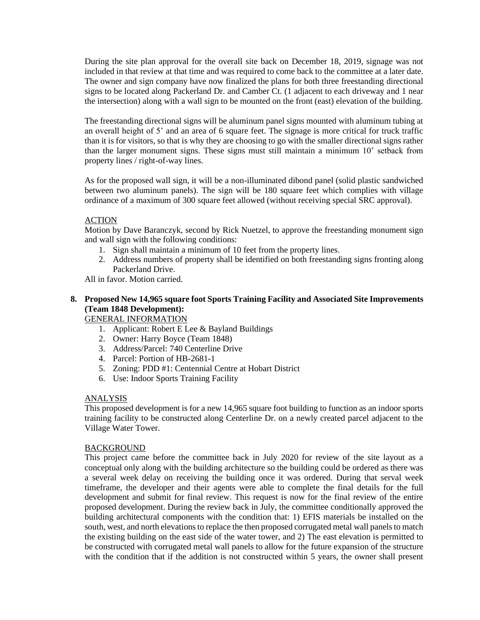During the site plan approval for the overall site back on December 18, 2019, signage was not included in that review at that time and was required to come back to the committee at a later date. The owner and sign company have now finalized the plans for both three freestanding directional signs to be located along Packerland Dr. and Camber Ct. (1 adjacent to each driveway and 1 near the intersection) along with a wall sign to be mounted on the front (east) elevation of the building.

The freestanding directional signs will be aluminum panel signs mounted with aluminum tubing at an overall height of 5' and an area of 6 square feet. The signage is more critical for truck traffic than it is for visitors, so that is why they are choosing to go with the smaller directional signs rather than the larger monument signs. These signs must still maintain a minimum 10' setback from property lines / right-of-way lines.

As for the proposed wall sign, it will be a non-illuminated dibond panel (solid plastic sandwiched between two aluminum panels). The sign will be 180 square feet which complies with village ordinance of a maximum of 300 square feet allowed (without receiving special SRC approval).

# ACTION

Motion by Dave Baranczyk, second by Rick Nuetzel, to approve the freestanding monument sign and wall sign with the following conditions:

- 1. Sign shall maintain a minimum of 10 feet from the property lines.
- 2. Address numbers of property shall be identified on both freestanding signs fronting along Packerland Drive.

All in favor. Motion carried.

# **8. Proposed New 14,965 square foot Sports Training Facility and Associated Site Improvements (Team 1848 Development):**

# GENERAL INFORMATION

- 1. Applicant: Robert E Lee & Bayland Buildings
- 2. Owner: Harry Boyce (Team 1848)
- 3. Address/Parcel: 740 Centerline Drive
- 4. Parcel: Portion of HB-2681-1
- 5. Zoning: PDD #1: Centennial Centre at Hobart District
- 6. Use: Indoor Sports Training Facility

### ANALYSIS

This proposed development is for a new 14,965 square foot building to function as an indoor sports training facility to be constructed along Centerline Dr. on a newly created parcel adjacent to the Village Water Tower.

### BACKGROUND

This project came before the committee back in July 2020 for review of the site layout as a conceptual only along with the building architecture so the building could be ordered as there was a several week delay on receiving the building once it was ordered. During that serval week timeframe, the developer and their agents were able to complete the final details for the full development and submit for final review. This request is now for the final review of the entire proposed development. During the review back in July, the committee conditionally approved the building architectural components with the condition that: 1) EFIS materials be installed on the south, west, and north elevations to replace the then proposed corrugated metal wall panels to match the existing building on the east side of the water tower, and 2) The east elevation is permitted to be constructed with corrugated metal wall panels to allow for the future expansion of the structure with the condition that if the addition is not constructed within 5 years, the owner shall present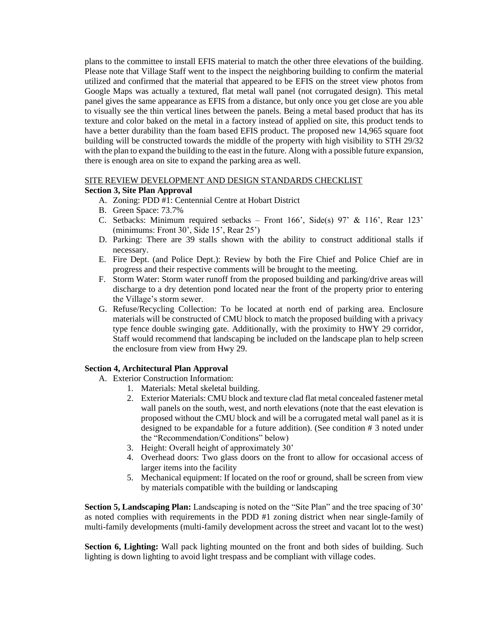plans to the committee to install EFIS material to match the other three elevations of the building. Please note that Village Staff went to the inspect the neighboring building to confirm the material utilized and confirmed that the material that appeared to be EFIS on the street view photos from Google Maps was actually a textured, flat metal wall panel (not corrugated design). This metal panel gives the same appearance as EFIS from a distance, but only once you get close are you able to visually see the thin vertical lines between the panels. Being a metal based product that has its texture and color baked on the metal in a factory instead of applied on site, this product tends to have a better durability than the foam based EFIS product. The proposed new 14,965 square foot building will be constructed towards the middle of the property with high visibility to STH 29/32 with the plan to expand the building to the east in the future. Along with a possible future expansion, there is enough area on site to expand the parking area as well.

#### SITE REVIEW DEVELOPMENT AND DESIGN STANDARDS CHECKLIST

# **Section 3, Site Plan Approval**

- A. Zoning: PDD #1: Centennial Centre at Hobart District
- B. Green Space: 73.7%
- C. Setbacks: Minimum required setbacks Front 166', Side(s) 97' & 116', Rear 123' (minimums: Front 30', Side 15', Rear 25')
- D. Parking: There are 39 stalls shown with the ability to construct additional stalls if necessary.
- E. Fire Dept. (and Police Dept.): Review by both the Fire Chief and Police Chief are in progress and their respective comments will be brought to the meeting.
- F. Storm Water: Storm water runoff from the proposed building and parking/drive areas will discharge to a dry detention pond located near the front of the property prior to entering the Village's storm sewer.
- G. Refuse/Recycling Collection: To be located at north end of parking area. Enclosure materials will be constructed of CMU block to match the proposed building with a privacy type fence double swinging gate. Additionally, with the proximity to HWY 29 corridor, Staff would recommend that landscaping be included on the landscape plan to help screen the enclosure from view from Hwy 29.

### **Section 4, Architectural Plan Approval**

- A. Exterior Construction Information:
	- 1. Materials: Metal skeletal building.
	- 2. Exterior Materials: CMU block and texture clad flat metal concealed fastener metal wall panels on the south, west, and north elevations (note that the east elevation is proposed without the CMU block and will be a corrugated metal wall panel as it is designed to be expandable for a future addition). (See condition # 3 noted under the "Recommendation/Conditions" below)
	- 3. Height: Overall height of approximately 30'
	- 4. Overhead doors: Two glass doors on the front to allow for occasional access of larger items into the facility
	- 5. Mechanical equipment: If located on the roof or ground, shall be screen from view by materials compatible with the building or landscaping

**Section 5, Landscaping Plan:** Landscaping is noted on the "Site Plan" and the tree spacing of 30' as noted complies with requirements in the PDD #1 zoning district when near single-family of multi-family developments (multi-family development across the street and vacant lot to the west)

**Section 6, Lighting:** Wall pack lighting mounted on the front and both sides of building. Such lighting is down lighting to avoid light trespass and be compliant with village codes.